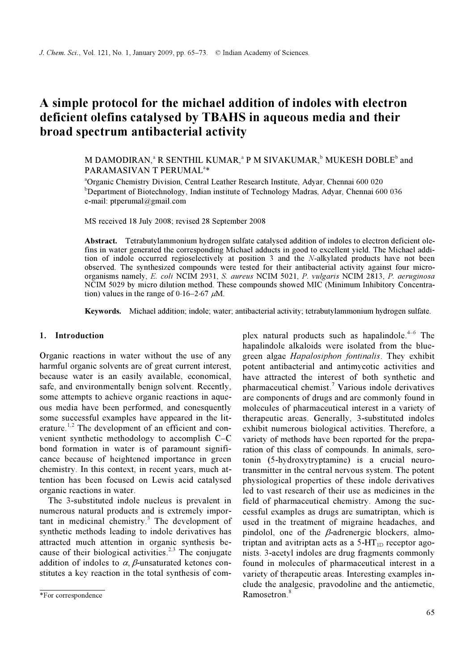# A simple protocol for the michael addition of indoles with electron deficient olefins catalysed by TBAHS in aqueous media and their broad spectrum antibacterial activity

## M DAMODIRAN, $\degree$  R SENTHIL KUMAR, $\degree$  P M SIVAKUMAR, $\degree$  MUKESH DOBLE $\degree$  and PARAMASIVAN T PERUMAL<sup>a\*</sup>

a Organic Chemistry Division, Central Leather Research Institute, Adyar, Chennai 600 020 <sup>b</sup>Department of Biotechnology, Indian institute of Technology Madras, Adyar, Chennai 600 036 e-mail: ptperumal@gmail.com

MS received 18 July 2008; revised 28 September 2008

Abstract. Tetrabutylammonium hydrogen sulfate catalysed addition of indoles to electron deficient olefins in water generated the corresponding Michael adducts in good to excellent yield. The Michael addition of indole occurred regioselectively at position 3 and the N-alkylated products have not been observed. The synthesized compounds were tested for their antibacterial activity against four microorganisms namely, E. coli NCIM 2931, S. aureus NCIM 5021, P. vulgaris NCIM 2813, P. aeruginosa organisms namely, E. coll NCIM 2931, S. ailreas NCIM 3021, P. viligaris NCIM 2813, P. aerilginosa<br>NCIM 5029 by micro dilution method. These compounds showed MIC (Minimum Inhibitory Concentra-<br>tion) values in the range of

Keywords. Michael addition; indole; water; antibacterial activity; tetrabutylammonium hydrogen sulfate.

## 1. Introduction

Organic reactions in water without the use of any harmful organic solvents are of great current interest, because water is an easily available, economical, safe, and environmentally benign solvent. Recently, some attempts to achieve organic reactions in aqueous media have been performed, and conesquently some successful examples have appeared in the literature.<sup>1,2</sup> The development of an efficient and convenient synthetic methodology to accomplish C–C bond formation in water is of paramount significance because of heightened importance in green chemistry. In this context, in recent years, much attention has been focused on Lewis acid catalysed organic reactions in water.

 The 3-substituted indole nucleus is prevalent in numerous natural products and is extremely impor $tant in medical chemistry.<sup>3</sup> The development of$ synthetic methods leading to indole derivatives has attracted much attention in organic synthesis because of their biological activities.<sup>2,3</sup> The conjugate addition of indoles to  $\alpha$ ,  $\beta$ -unsaturated ketones constitutes a key reaction in the total synthesis of complex natural products such as hapalindole. $4-6$  The hapalindole alkaloids were isolated from the bluegreen algae Hapalosiphon fontinalis. They exhibit potent antibacterial and antimycotic activities and have attracted the interest of both synthetic and pharmaceutical chemist.<sup>7</sup> Various indole derivatives are components of drugs and are commonly found in molecules of pharmaceutical interest in a variety of therapeutic areas. Generally, 3-substituted indoles exhibit numerous biological activities. Therefore, a variety of methods have been reported for the preparation of this class of compounds. In animals, serotonin (5-hydroxytryptamine) is a crucial neurotransmitter in the central nervous system. The potent physiological properties of these indole derivatives led to vast research of their use as medicines in the field of pharmaceutical chemistry. Among the successful examples as drugs are sumatriptan, which is used in the treatment of migraine headaches, and pindolol, one of the  $\beta$ -adrenergic blockers, almotriptan and avitriptan acts as a  $5-HT_{1D}$  receptor agonists. 3-acetyl indoles are drug fragments commonly found in molecules of pharmaceutical interest in a variety of therapeutic areas. Interesting examples include the analgesic, pravodoline and the antiemetic, Ramosetron.<sup>8</sup>

<sup>\*</sup>For correspondence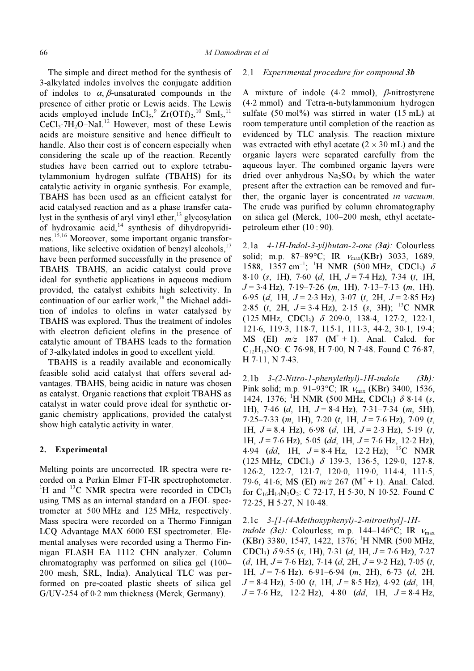The simple and direct method for the synthesis of 3-alkylated indoles involves the conjugate addition of indoles to  $\alpha$ ,  $\beta$ -unsaturated compounds in the presence of either protic or Lewis acids. The Lewis acids employed include  $InCl<sub>3</sub>$ ,  $Zr(OTf)<sub>2</sub>$ ,  $10$   $SmI<sub>3</sub>$ ,  $11$  $CeCl<sub>3</sub>·7H<sub>2</sub>O–NaI<sup>12</sup>$  However, most of these Lewis acids are moisture sensitive and hence difficult to handle. Also their cost is of concern especially when considering the scale up of the reaction. Recently studies have been carried out to explore tetrabutylammonium hydrogen sulfate (TBAHS) for its catalytic activity in organic synthesis. For example, TBAHS has been used as an efficient catalyst for acid catalysed reaction and as a phase transfer catalyst in the synthesis of aryl vinyl ether, $^{13}$  glycosylation of hydroxamic acid, $14$  synthesis of dihydropyridines.15,16 Moreover, some important organic transformations, like selective oxidation of benzyl alcohols, $17$ have been performed successfully in the presence of TBAHS. TBAHS, an acidic catalyst could prove ideal for synthetic applications in aqueous medium provided, the catalyst exhibits high selectivity. In continuation of our earlier work,<sup>18</sup> the Michael addition of indoles to olefins in water catalysed by TBAHS was explored. Thus the treatment of indoles with electron deficient olefins in the presence of catalytic amount of TBAHS leads to the formation of 3-alkylated indoles in good to excellent yield.

 TBAHS is a readily available and economically feasible solid acid catalyst that offers several advantages. TBAHS, being acidic in nature was chosen as catalyst. Organic reactions that exploit TBAHS as catalyst in water could prove ideal for synthetic organic chemistry applications, provided the catalyst show high catalytic activity in water.

## 2. Experimental

Melting points are uncorrected. IR spectra were recorded on a Perkin Elmer FT-IR spectrophotometer. <sup>1</sup>H and <sup>13</sup>C NMR spectra were recorded in CDCl<sub>3</sub> using TMS as an internal standard on a JEOL spectrometer at 500 MHz and 125 MHz, respectively. Mass spectra were recorded on a Thermo Finnigan LCQ Advantage MAX 6000 ESI spectrometer. Elemental analyses were recorded using a Thermo Finnigan FLASH EA 1112 CHN analyzer. Column chromatography was performed on silica gel (100– 200 mesh, SRL, India). Analytical TLC was performed on pre-coated plastic sheets of silica gel G/UV-254 of 0⋅2 mm thickness (Merck, Germany).

#### 2.1 Experimental procedure for compound 3b

A mixture of indole  $(4.2 \text{ mmol})$ ,  $\beta$ -nitrostyrene (4⋅2 mmol) and Tetra-n-butylammonium hydrogen sulfate  $(50 \text{ mol})\%$  was stirred in water  $(15 \text{ mL})$  at room temperature until completion of the reaction as evidenced by TLC analysis. The reaction mixture was extracted with ethyl acetate  $(2 \times 30 \text{ mL})$  and the organic layers were separated carefully from the aqueous layer. The combined organic layers were dried over anhydrous  $Na<sub>2</sub>SO<sub>4</sub>$  by which the water present after the extraction can be removed and further, the organic layer is concentrated in vacuum. The crude was purified by column chromatography on silica gel (Merck, 100–200 mesh, ethyl acetatepetroleum ether (10 : 90).

2.1a  $4$ -1H-Indol-3-yl)butan-2-one (3a): Colourless solid; m.p. 87-89°C; IR  $v_{\text{max}}(\text{KBr})$  3033, 1689, 1588, 1357 cm<sup>-1</sup>; <sup>1</sup>H NMR (500 MHz, CDCl<sub>3</sub>)  $\delta$  $8·10$  (s, 1H), 7⋅60 (d, 1H,  $J = 7·4$  Hz), 7⋅34 (t, 1H,  $J = 3.4$  Hz),  $7.19 - 7.26$  (m, 1H),  $7.13 - 7.13$  (m, 1H), 6⋅95 (d, 1H,  $J = 2.3$  Hz), 3⋅07 (t, 2H,  $J = 2.85$  Hz) 2⋅85 (*t*, 2H,  $J = 3.4$  Hz), 2⋅15 (*s*, 3H); <sup>13</sup>C NMR (125 MHz, CDCl3) δ 209⋅0, 138⋅4, 127⋅2, 122⋅1, 121⋅6, 119⋅3, 118⋅7, 115⋅1, 111⋅3, 44⋅2, 30⋅1, 19⋅4; MS (EI)  $m/z$  187 (M<sup>+</sup> + 1). Anal. Calcd. for  $C_{12}H_{13}NO: C$  76⋅98, H 7⋅00, N 7⋅48. Found C 76⋅87, H 7⋅11, N 7⋅43.

2.1b  $3-(2-Nitro-l-phenylethyl)-lH-indole$  (3b): Pink solid; m.p. 91–93 $^{\circ}$ C; IR  $v_{\text{max}}$  (KBr) 3400, 1536, 1424, 1376; <sup>1</sup>H NMR (500 MHz, CDCl<sub>3</sub>)  $\delta$  8⋅14 (s, 1H), 7⋅46 (d, 1H,  $J = 8.4$  Hz), 7⋅31–7⋅34 (m, 5H),  $7·25–7·33$  (m, 1H),  $7·20$  (t, 1H,  $J = 7·6$  Hz),  $7·09$  (t, 1H,  $J = 8.4$  Hz), 6⋅98 (d, 1H,  $J = 2.3$  Hz), 5⋅19 (t, 1H,  $J = 7.6$  Hz), 5.05 (dd, 1H,  $J = 7.6$  Hz, 12⋅2 Hz), 4⋅94 (dd, 1H,  $J = 8.4$  Hz, 12⋅2 Hz); <sup>13</sup>C NMR (125 MHz, CDCl3) δ 139⋅3, 136⋅5, 129⋅0, 127⋅8, 126⋅2, 122⋅7, 121⋅7, 120⋅0, 119⋅0, 114⋅4, 111⋅5, 79⋅6, 41⋅6; MS (EI)  $m/z$  267 (M<sup>+</sup> + 1). Anal. Calcd. for  $C_{16}H_{14}N_2O_2$ : C 72⋅17, H 5⋅30, N 10⋅52. Found C 72⋅25, H 5⋅27, N 10⋅48.

2.1c 3-[1-(4-Methoxyphenyl)-2-nitroethyl]-1H-

indole (3c): Colourless; m.p. 144–146°C; IR  $v_{\text{max}}$ (KBr) 3380, 1547, 1422, 1376; <sup>1</sup>H NMR (500 MHz, CDCl<sub>3</sub>)  $\delta$  9⋅55 (s, 1H), 7⋅31 (d, 1H, J = 7⋅6 Hz), 7⋅27  $(d, 1H, J = 7.6 Hz), 7.14 (d, 2H, J = 9.2 Hz), 7.05 (t,$ 1H,  $J = 7.6$  Hz),  $6.91 - 6.94$  (m, 2H),  $6.73$  (d, 2H,  $J = 8.4$  Hz), 5.00 (t, 1H,  $J = 8.5$  Hz), 4.92 (dd, 1H,  $J = 7.6$  Hz, 12⋅2 Hz), 4⋅80 (dd, 1H,  $J = 8.4$  Hz,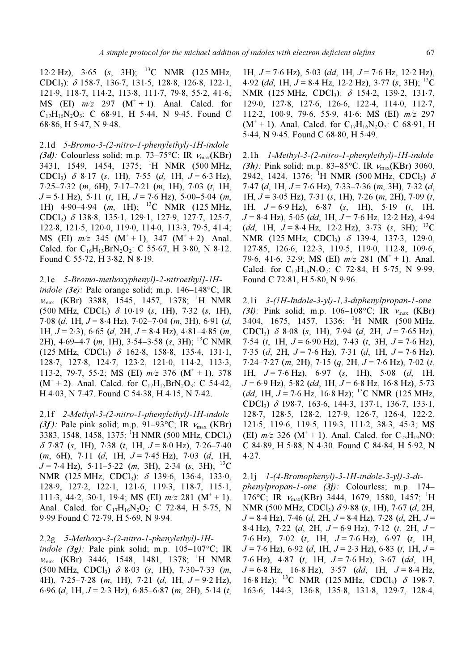12⋅2 Hz), 3⋅65 (s, 3H); <sup>13</sup>C NMR (125 MHz, CDCl3): δ 158⋅7, 136⋅7, 131⋅5, 128⋅8, 126⋅8, 122⋅1, 121⋅9, 118⋅7, 114⋅2, 113⋅8, 111⋅7, 79⋅8, 55⋅2, 41⋅6; MS (EI)  $m/z$  297 (M<sup>+</sup> + 1). Anal. Calcd. for  $C_{17}H_{16}N_2O_3$ : C 68⋅91, H 5⋅44, N 9⋅45. Found C 68⋅86, H 5⋅47, N 9⋅48.

2.1d 5-Bromo-3-(2-nitro-1-phenylethyl)-1H-indole (3d): Colourless solid; m.p. 73–75°C; IR  $v_{\text{max}}(\text{KBr})$ 3431, 1549, 1454, 1375; <sup>1</sup>H NMR (500 MHz, CDCl<sub>3</sub>)  $\delta$  8⋅17 (s, 1H), 7⋅55 (d, 1H, J = 6⋅3 Hz), 7⋅25–7⋅32 (m, 6H), 7⋅17–7⋅21 (m, 1H), 7⋅03 (t, 1H,  $J = 5.1$  Hz),  $5.11$  (t, 1H,  $J = 7.6$  Hz),  $5.00 - 5.04$  (m, 1H) 4⋅90−4⋅94 (m, 1H); <sup>13</sup>C NMR (125 MHz, CDCl3) δ 138⋅8, 135⋅1, 129⋅1, 127⋅9, 127⋅7, 125⋅7, 122⋅8, 121⋅5, 120⋅0, 119⋅0, 114⋅0, 113⋅3, 79⋅5, 41⋅4; MS (EI)  $m/z$  345 (M<sup>+</sup> + 1), 347 (M<sup>+</sup> + 2). Anal. Calcd. for  $C_{16}H_{13}BrN_2O_2$ : C 55⋅67, H 3⋅80, N 8⋅12. Found C 55⋅72, H 3⋅82, N 8⋅19.

2.1e 5-Bromo-methoxyphenyl)-2-nitroethyl]-1H-

indole (3e): Pale orange solid; m.p.  $146-148$ °C; IR νmax (KBr) 3388, 1545, 1457, 1378; <sup>1</sup> H NMR  $(500 \text{ MHz}, \text{ CDCl}_3)$  δ 10⋅19 (s, 1H), 7⋅32 (s, 1H), 7⋅08 (d, 1H,  $J = 8.4$  Hz), 7⋅02–7⋅04 (m, 3H), 6⋅91 (d, 1H,  $J = 2.3$ ), 6⋅65 (d, 2H,  $J = 8.4$  Hz), 4⋅81–4⋅85 (m, 2H), 4⋅69–4⋅7 (*m*, 1H), 3⋅54–3⋅58 (s, 3H); <sup>13</sup>C NMR (125 MHz, CDCl3) δ 162⋅8, 158⋅8, 135⋅4, 131⋅1, 128⋅7, 127⋅8, 124⋅7, 123⋅2, 121⋅0, 114⋅2, 113⋅3, 113⋅2, 79⋅7, 55⋅2; MS (EI)  $m/z$  376 (M<sup>+</sup> + 1), 378  $(M^+ + 2)$ . Anal. Calcd. for  $C_{17}H_{15}BrN_2O_3$ : C 54⋅42, H 4⋅03, N 7⋅47. Found C 54⋅38, H 4⋅15, N 7⋅42.

2.1f 2-Methyl-3-(2-nitro-1-phenylethyl)-1H-indole (3f): Pale pink solid; m.p. 91–93°C; IR  $v_{\text{max}}$  (KBr) 3383, 1548, 1458, 1375; <sup>1</sup>H NMR (500 MHz, CDCl<sub>3</sub>)  $\delta$  7⋅87 (s, 1H), 7⋅38 (t, 1H, J = 8⋅0 Hz), 7⋅26–7⋅40  $(m, 6H)$ , 7⋅11  $(d, 1H, J = 7.45 Hz)$ , 7⋅03  $(d, 1H,$  $J = 7.4$  Hz), 5⋅11–5⋅22 (m, 3H), 2⋅34 (s, 3H); <sup>13</sup>C NMR (125 MHz, CDCl<sub>3</sub>): δ 139⋅6, 136⋅4, 133⋅0, 128⋅9, 127⋅2, 122⋅1, 121⋅6, 119⋅3, 118⋅7, 115⋅1, 111⋅3, 44⋅2, 30⋅1, 19⋅4; MS (EI)  $m/z$  281 (M<sup>+</sup> + 1). Anal. Calcd. for  $C_{17}H_{16}N_2O_2$ : C 72⋅84, H 5⋅75, N 9⋅99 Found C 72⋅79, H 5⋅69, N 9⋅94.

#### 2.2g 5-Methoxy-3-(2-nitro-1-phenylethyl)-1H-

indole  $(3g)$ : Pale pink solid; m.p. 105-107°C; IR  $v_{\text{max}}$  (KBr) 3446, 1548, 1481, 1378; <sup>1</sup>H NMR  $(500 \text{ MHz}, \text{ CDCl}_3)$  δ 8⋅03 (s, 1H), 7⋅30–7⋅33 (m, 4H),  $7.25-7.28$  (m, 1H),  $7.21$  (d, 1H,  $J = 9.2$  Hz), 6⋅96 (d, 1H,  $J = 2.3$  Hz), 6⋅85–6⋅87 (m, 2H), 5⋅14 (t,

1H,  $J = 7.6$  Hz),  $5.03$  (dd, 1H,  $J = 7.6$  Hz, 12⋅2 Hz), 4⋅92 (dd, 1H, J = 8⋅4 Hz, 12⋅2 Hz), 3⋅77 (s, 3H); <sup>13</sup>C NMR (125 MHz, CDCl<sub>3</sub>): δ 154⋅2, 139⋅2, 131⋅7, 129⋅0, 127⋅8, 127⋅6, 126⋅6, 122⋅4, 114⋅0, 112⋅7, 112⋅2, 100⋅9, 79⋅6, 55⋅9, 41⋅6; MS (EI) m/z 297  $(M^+ + 1)$ . Anal. Calcd. for  $C_{17}H_{16}N_2O_3$ : C 68⋅91, H 5⋅44, N 9⋅45. Found C 68⋅80, H 5⋅49.

2.1h 1-Methyl-3-(2-nitro-1-phenylethyl)-1H-indole (3h): Pink solid; m.p. 83–85°C. IR  $v_{\text{max}}(\text{KBr})$  3060, 2942, 1424, 1376; <sup>1</sup>H NMR (500 MHz, CDCl<sub>3</sub>)  $\delta$  $7.47$  (d, 1H,  $J = 7.6$  Hz),  $7.33 - 7.36$  (m, 3H),  $7.32$  (d, 1H,  $J = 3.05$  Hz), 7⋅31 (s, 1H), 7⋅26 (m, 2H), 7⋅09 (t, 1H,  $J = 6.9$  Hz),  $6.87$  (s, 1H),  $5.19$  (t, 1H,  $J = 8.4$  Hz), 5.05 (dd, 1H,  $J = 7.6$  Hz, 12.2 Hz), 4.94 (dd, 1H,  $J = 8.4$  Hz, 12⋅2 Hz), 3⋅73 (s, 3H); <sup>13</sup>C NMR (125 MHz, CDCl<sub>3</sub>) δ 139⋅4, 137⋅3, 129⋅0, 127⋅85, 126⋅6, 122⋅3, 119⋅5, 119⋅0, 112⋅8, 109⋅6, 79⋅6, 41⋅6, 32⋅9; MS (EI)  $m/z$  281 (M<sup>+</sup> + 1). Anal. Calcd. for  $C_{17}H_{16}N_2O_2$ : C 72⋅84, H 5⋅75, N 9⋅99. Found C 72⋅81, H 5⋅80, N 9⋅96.

2.1i 3-(1H-Indole-3-yl)-1,3-diphenylpropan-1-one (3i): Pink solid; m.p. 106–108°C; IR  $v_{\text{max}}$  (KBr) 3404, 1675, 1457, 1336; <sup>1</sup> H NMR (500 MHz, CDCl<sub>3</sub>)  $\delta$  8⋅08 (s, 1H), 7⋅94 (d, 2H, J = 7⋅65 Hz), 7⋅54 (t, 1H,  $J = 6.90$  Hz), 7⋅43 (t, 3H,  $J = 7.6$  Hz), 7⋅35 (d, 2H,  $J = 7.6$  Hz), 7⋅31 (d, 1H,  $J = 7.6$  Hz),  $7·24–7·27$  (m, 2H),  $7·15$  (q, 2H,  $J = 7·6$  Hz),  $7·02$  (t, 1H,  $J = 7.6$  Hz),  $6.97$  (s, 1H),  $5.08$  (d, 1H,  $J = 6.9$  Hz), 5⋅82 (dd, 1H,  $J = 6.8$  Hz, 16⋅8 Hz), 5⋅73 (dd, 1H, J = 7⋅6 Hz, 16⋅8 Hz); <sup>13</sup>C NMR (125 MHz, CDCl3) δ 198⋅7, 163⋅6, 144⋅3, 137⋅1, 136⋅7, 133⋅1, 128⋅7, 128⋅5, 128⋅2, 127⋅9, 126⋅7, 126⋅4, 122⋅2, 121⋅5, 119⋅6, 119⋅5, 119⋅3, 111⋅2, 38⋅3, 45⋅3; MS (EI)  $m/z$  326 (M<sup>+</sup> + 1). Anal. Calcd. for C<sub>23</sub>H<sub>19</sub>NO: C 84⋅89, H 5⋅88, N 4⋅30. Found C 84⋅84, H 5⋅92, N 4⋅27.

### 2.1j 1-(4-Bromophenyl)-3-1H-indole-3-yl)-3-di-

phenylpropan-1-one (3j): Colourless; m.p. 174-176°C; IR  $v_{\text{max}}(KBr)$  3444, 1679, 1580, 1457; <sup>1</sup>H NMR (500 MHz, CDCl<sub>3</sub>) δ 9⋅88 (s, 1H), 7⋅67 (d, 2H,  $J = 8.4$  Hz), 7.46 (d, 2H,  $J = 8.4$  Hz), 7.28 (d, 2H,  $J =$ 8⋅4 Hz), 7⋅22 (d, 2H,  $J = 6.9$  Hz), 7⋅12 (t, 2H,  $J =$ 7⋅6 Hz), 7⋅02 (t, 1H,  $J = 7.6$  Hz), 6⋅97 (t, 1H,  $J = 7.6$  Hz), 6⋅92 (d, 1H,  $J = 2.3$  Hz), 6⋅83 (t, 1H,  $J =$ 7⋅6 Hz), 4⋅87 (t, 1H,  $J = 7.6$  Hz), 3⋅67 (dd, 1H,  $J = 6.8$  Hz, 16⋅8 Hz), 3⋅57 (dd, 1H,  $J = 8.4$  Hz, 16⋅8 Hz); <sup>13</sup>C NMR (125 MHz, CDCl<sub>3</sub>)  $\delta$  198⋅7, 163⋅6, 144⋅3, 136⋅8, 135⋅8, 131⋅8, 129⋅7, 128⋅4,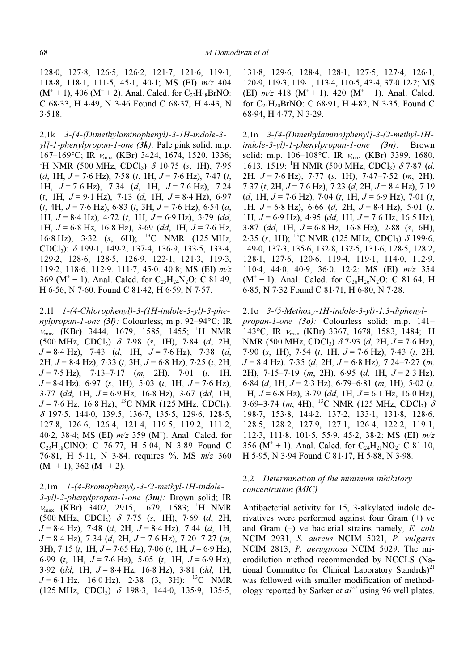128⋅0, 127⋅8, 126⋅5, 126⋅2, 121⋅7, 121⋅6, 119⋅1, 118⋅8, 118⋅1, 111⋅5, 45⋅1, 40⋅1; MS (EI) m/z 404  $(M^+ + 1)$ , 406  $(M^+ + 2)$ . Anal. Calcd. for  $C_{23}H_{18}BrNO$ : C 68⋅33, H 4⋅49, N 3⋅46 Found C 68⋅37, H 4⋅43, N 3⋅518.

2.1k 3-[4-(Dimethylaminophenyl)-3-1H-indole-3  $v11-I-phenvlpropan-I-one (3k)$ : Pale pink solid; m.p.  $167-169$ °C; IR  $v_{\text{max}}$  (KBr) 3424, 1674, 1520, 1336; <sup>1</sup>H NMR (500 MHz, CDCl<sub>3</sub>)  $\delta$  10⋅75 (s, 1H), 7⋅95  $(d, 1H, J = 7.6 Hz), 7.58 (t, 1H, J = 7.6 Hz), 7.47 (t,$ 1H,  $J = 7.6$  Hz),  $7.34$  (d, 1H,  $J = 7.6$  Hz),  $7.24$  $(t, 1H, J = 9.1 Hz)$ , 7.13  $(d, 1H, J = 8.4 Hz)$ , 6.97  $(t, 4H, J = 7.6 \text{ Hz})$ , 6⋅83  $(t, 3H, J = 7.6 \text{ Hz})$ , 6⋅54  $(d,$ 1H,  $J = 8.4$  Hz),  $4.72$  (t, 1H,  $J = 6.9$  Hz),  $3.79$  (dd, 1H,  $J = 6.8$  Hz, 16⋅8 Hz), 3⋅69 (dd, 1H,  $J = 7.6$  Hz, 16⋅8 Hz), 3⋅32 (s, 6H); <sup>13</sup>C NMR (125 MHz, CDCl3): δ 199⋅1, 149⋅2, 137⋅4, 136⋅9, 133⋅5, 133⋅4, 129⋅2, 128⋅6, 128⋅5, 126⋅9, 122⋅1, 121⋅3, 119⋅3, 119⋅2, 118⋅6, 112⋅9, 111⋅7, 45⋅0, 40⋅8; MS (EI) m/z 369 ( $M^+$  + 1). Anal. Calcd. for C<sub>25</sub>H<sub>24</sub>N<sub>2</sub>O: C 81⋅49, H 6⋅56, N 7⋅60. Found C 81⋅42, H 6⋅59, N 7⋅57.

2.1l 1-(4-Chlorophenyl)-3-(1H-indole-3-yl)-3-phenylpropan-1-one (3l): Colourless; m.p. 92–94°C; IR νmax (KBr) 3444, 1679, 1585, 1455; <sup>1</sup> H NMR  $(500 \text{ MHz}, \text{ CDCl}_3)$  δ 7⋅98 (s, 1H), 7⋅84 (d, 2H,  $J = 8.4$  Hz), 7.43 (d, 1H,  $J = 7.6$  Hz), 7.38 (d, 2H,  $J = 8.4$  Hz), 7⋅33 (t, 3H,  $J = 6.8$  Hz), 7⋅25 (t, 2H,  $J = 7.5$  Hz),  $7.13-7.17$  (m, 2H),  $7.01$  (t, 1H,  $J = 8.4$  Hz), 6.97 (s, 1H), 5.03 (t, 1H,  $J = 7.6$  Hz),  $3·77$  (dd, 1H,  $J = 6·9$  Hz, 16⋅8 Hz), 3⋅67 (dd, 1H,  $J = 7.6$  Hz, 16⋅8 Hz); <sup>13</sup>C NMR (125 MHz, CDCl<sub>3</sub>): δ 197⋅5, 144⋅0, 139.5, 136⋅7, 135⋅5, 129⋅6, 128⋅5, 127⋅8, 126⋅6, 126⋅4, 121⋅4, 119⋅5, 119⋅2, 111⋅2, 40⋅2, 38⋅4; MS (EI)  $m/z$  359 (M<sup>+</sup>). Anal. Calcd. for  $C_{23}H_{18}CINO: C 76.77, H 5.04, N 3.89$  Found C 76⋅81, H 5⋅11, N 3⋅84. requires %. MS  $m/z$  360  $(M^+ + 1)$ , 362  $(M^+ + 2)$ .

#### 2.1m 1-(4-Bromophenyl)-3-(2-methyl-1H-indole-

 $3-yl$ -3-phenylpropan-1-one  $(3m)$ : Brown solid; IR  $v_{\text{max}}$  (KBr) 3402, 2915, 1679, 1583; <sup>1</sup>H NMR (500 MHz, CDCl<sub>3</sub>)  $\delta$  7⋅75 (s, 1H), 7⋅69 (d, 2H,  $J = 8.4$  Hz), 7.48 (d, 2H,  $J = 8.4$  Hz), 7.44 (d, 1H,  $J = 8.4$  Hz), 7⋅34 (d, 2H,  $J = 7.6$  Hz), 7⋅20–7⋅27 (m, 3H), 7⋅15 (t, 1H,  $J = 7.65$  Hz), 7⋅06 (t, 1H,  $J = 6.9$  Hz), 6⋅99 (t, 1H,  $J = 7.6$  Hz), 5⋅05 (t, 1H,  $J = 6.9$  Hz),  $3.92$  (dd, 1H,  $J = 8.4$  Hz, 16⋅8 Hz), 3⋅81 (dd, 1H,  $J = 6.1$  Hz, 16⋅0 Hz), 2⋅38 (3, 3H); <sup>13</sup>C NMR (125 MHz, CDCl3) δ 198⋅3, 144⋅0, 135⋅9, 135⋅5,

131⋅8, 129⋅6, 128⋅4, 128⋅1, 127⋅5, 127⋅4, 126⋅1, 120⋅9, 119⋅3, 119⋅1, 113⋅4, 110⋅5, 43⋅4, 37⋅0 12⋅2; MS (EI)  $m/z$  418 (M<sup>+</sup> + 1), 420 (M<sup>+</sup> + 1). Anal. Calcd. for  $C_{24}H_{20}BrNO$ : C 68⋅91, H 4⋅82, N 3⋅35. Found C 68⋅94, H 4⋅77, N 3⋅29.

2.1n 3-[4-(Dimethylamino)phenyl]-3-(2-methyl-1H $indole-3-yl$ -1-phenylpropan-1-one  $(3n)$ : Brown solid; m.p. 106–108°C. IR  $v_{\text{max}}$  (KBr) 3399, 1680, 1613, 1519; <sup>1</sup>H NMR (500 MHz, CDCl<sub>3</sub>)  $\delta$  7⋅87 (d, 2H,  $J = 7.6$  Hz),  $7.77$  (s, 1H),  $7.47 - 7.52$  (m, 2H), 7⋅37 (t, 2H,  $J = 7.6$  Hz), 7⋅23 (d, 2H,  $J = 8.4$  Hz), 7⋅19 (d, 1H,  $J = 7.6$  Hz),  $7.04$  (t, 1H,  $J = 6.9$  Hz),  $7.01$  (t, 1H,  $J = 6.8$  Hz), 6.66 (d, 2H,  $J = 8.4$  Hz), 5.01 (t, 1H,  $J = 6.9$  Hz), 4.95 (dd, 1H,  $J = 7.6$  Hz, 16.5 Hz),  $3·87$  (dd, 1H,  $J = 6·8$  Hz, 16⋅8 Hz), 2⋅88 (s, 6H), 2⋅35 (s, 1H); <sup>13</sup>C NMR (125 MHz, CDCl<sub>3</sub>)  $\delta$  199⋅6, 149⋅0, 137⋅3, 135⋅6, 132⋅8, 132⋅5, 131⋅6, 128⋅5, 128⋅2, 128⋅1, 127⋅6, 120⋅6, 119⋅4, 119⋅1, 114⋅0, 112⋅9, 110⋅4, 44⋅0, 40⋅9, 36⋅0, 12⋅2; MS (EI) m/z 354  $(M^+ + 1)$ . Anal. Calcd. for C<sub>26</sub>H<sub>26</sub>N<sub>2</sub>O: C 81⋅64, H 6⋅85, N 7⋅32 Found C 81⋅71, H 6⋅80, N 7⋅28.

#### 2.1o 3-(5-Methoxy-1H-indole-3-yl)-1,3-diphenyl-

propan-1-one (3o): Colourless solid; m.p. 141– 143°C; IR  $v_{\text{max}}$  (KBr) 3367, 1678, 1583, 1484; <sup>1</sup>H NMR (500 MHz, CDCl<sub>3</sub>)  $\delta$  7⋅93 (d, 2H, J = 7⋅6 Hz), 7⋅90 (s, 1H), 7⋅54 (t, 1H,  $J = 7.6$  Hz), 7⋅43 (t, 2H,  $J = 8.4$  Hz), 7⋅35 (d, 2H,  $J = 6.8$  Hz), 7⋅24–7⋅27 (m, 2H), 7⋅15–7⋅19 (m, 2H), 6⋅95 (d, 1H,  $J = 2.3$  Hz), 6⋅84 (d, 1H,  $J = 2.3$  Hz), 6⋅79–6⋅81 (m, 1H), 5⋅02 (t, 1H,  $J = 6.8$  Hz), 3.79 (dd, 1H,  $J = 6.1$  Hz, 16.0 Hz), 3⋅69–3⋅74 (m, 4H); <sup>13</sup>C NMR (125 MHz, CDCl<sub>3</sub>)  $\delta$ 198⋅7, 153⋅8, 144⋅2, 137⋅2, 133⋅1, 131⋅8, 128⋅6, 128⋅5, 128⋅2, 127⋅9, 127⋅1, 126⋅4, 122⋅2, 119⋅1, 112⋅3, 111⋅8, 101⋅5, 55⋅9, 45⋅2, 38⋅2; MS (EI) m/z 356 ( $M^+$  + 1). Anal. Calcd. for  $C_{24}H_{21}NO_2$ : C 81⋅10, H 5⋅95, N 3⋅94 Found C 81⋅17, H 5⋅88, N 3⋅98.

## 2.2 Determination of the minimum inhibitory concentration (MIC)

Antibacterial activity for 15, 3-alkylated indole derivatives were performed against four Gram (+) ve and Gram  $(-)$  ve bacterial strains namely, E. coli NCIM 2931, S. aureus NCIM 5021, P. vulgaris NCIM 2813, P. aeruginosa NCIM 5029. The microdilution method recommended by NCCLS (National Committee for Clinical Laboratory Standrds)<sup>21</sup> was followed with smaller modification of methodology reported by Sarker *et al*<sup>22</sup> using 96 well plates.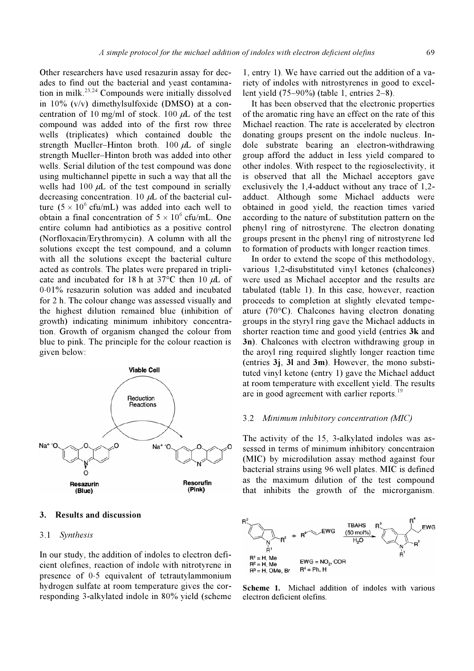Other researchers have used resazurin assay for decades to find out the bacterial and yeast contamination in milk.<sup>23,24</sup> Compounds were initially dissolved in 10% (v/v) dimethylsulfoxide (DMSO) at a concentration of 10 mg/ml of stock. 100  $\mu$ L of the test compound was added into of the first row three wells (triplicates) which contained double the strength Mueller–Hinton broth. 100 μL of single strength Mueller–Hinton broth was added into other wells. Serial dilution of the test compound was done using multichannel pipette in such a way that all the wells had  $100 \mu L$  of the test compound in serially decreasing concentration. 10  $\mu$ L of the bacterial culture  $(5 \times 10^6 \text{ cftu/mL})$  was added into each well to obtain a final concentration of  $5 \times 10^6$  cfu/mL. One entire column had antibiotics as a positive control (Norfloxacin/Erythromycin). A column with all the solutions except the test compound, and a column with all the solutions except the bacterial culture acted as controls. The plates were prepared in triplicate and incubated for 18 h at  $37^{\circ}$ C then 10  $\mu$ L of 0⋅01% resazurin solution was added and incubated for 2 h. The colour change was assessed visually and the highest dilution remained blue (inhibition of growth) indicating minimum inhibitory concentration. Growth of organism changed the colour from blue to pink. The principle for the colour reaction is given below:



#### 3. Results and discussion

#### 3.1 Synthesis

In our study, the addition of indoles to electron deficient olefines, reaction of indole with nitrotyrene in presence of 0⋅5 equivalent of tetrautylammonium hydrogen sulfate at room temperature gives the corresponding 3-alkylated indole in 80% yield (scheme

1, entry 1). We have carried out the addition of a variety of indoles with nitrostyrenes in good to excellent yield (75–90%) (table 1, entries 2–8).

 It has been observed that the electronic properties of the aromatic ring have an effect on the rate of this Michael reaction. The rate is accelerated by electron donating groups present on the indole nucleus. Indole substrate bearing an electron-withdrawing group afford the adduct in less yield compared to other indoles. With respect to the regioselectivity, it is observed that all the Michael acceptors gave exclusively the 1,4-adduct without any trace of 1,2 adduct. Although some Michael adducts were obtained in good yield, the reaction times varied according to the nature of substitution pattern on the phenyl ring of nitrostyrene. The electron donating groups present in the phenyl ring of nitrostyrene led to formation of products with longer reaction times.

 In order to extend the scope of this methodology, various 1,2-disubstituted vinyl ketones (chalcones) were used as Michael acceptor and the results are tabulated (table 1). In this case, however, reaction proceeds to completion at slightly elevated tempeature (70°C). Chalcones having electron donating groups in the styryl ring gave the Michael adducts in shorter reaction time and good yield (entries 3k and 3n). Chalcones with electron withdrawing group in the aroyl ring required slightly longer reaction time (entries 3j, 3l and 3m). However, the mono substituted vinyl ketone (entry 1) gave the Michael adduct at room temperature with excellent yield. The results are in good agreement with earlier reports.<sup>19</sup>

#### 3.2 Minimum inhibitory concentration (MIC)

The activity of the 15, 3-alkylated indoles was assessed in terms of minimum inhibitory concentraion (MIC) by microdilution assay method against four bacterial strains using 96 well plates. MIC is defined as the maximum dilution of the test compound that inhibits the growth of the microrganism.



Scheme 1. Michael addition of indoles with various electron deficient olefins.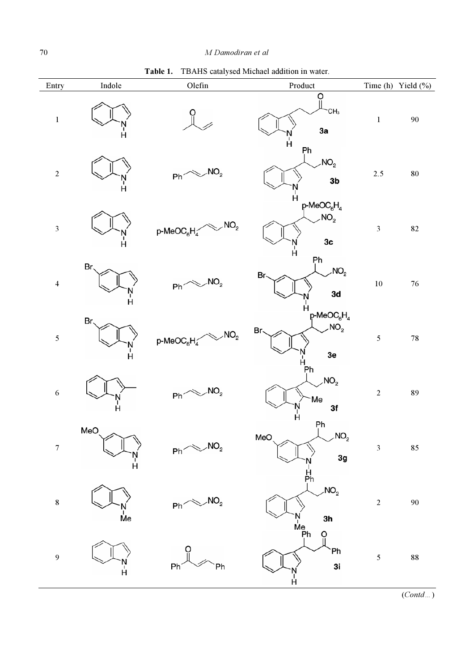Table 1. TBAHS catalysed Michael addition in water.

| Entry                   | Indole                            | Olefin                                                   | Product                                                                    |                | Time (h) Yield $(\%)$ |
|-------------------------|-----------------------------------|----------------------------------------------------------|----------------------------------------------------------------------------|----------------|-----------------------|
| $\bf{l}$                | Ĥ                                 |                                                          | O<br>CH <sub>3</sub><br>3a<br>Ä                                            | $\mathbf 1$    | $90\,$                |
| $\sqrt{2}$              | й                                 | NO <sub>2</sub><br>Ph′                                   | Ph<br>NO <sub>2</sub><br>3 <sub>b</sub><br>Ĥ                               | $2.5\,$        | ${\bf 80}$            |
| $\mathfrak{Z}$          | r"<br>H                           | NO <sub>2</sub><br>$p$ -MeOC $_{6}H_{4}^{\times}$        | $p$ -MeOC <sub>6</sub> H <sub>4</sub><br>NO <sub>2</sub><br>3c<br>N<br>H   | $\mathfrak{Z}$ | $82\,$                |
| $\overline{4}$          | Br.<br>N<br>H                     | NO <sub>2</sub><br>$Ph^{\text{max}}$                     | Рh<br>NO <sub>2</sub><br>Br.<br>3d<br>Ч                                    | $10\,$         | $76\,$                |
| $\overline{\mathbf{5}}$ | Br.<br>N<br>H                     | NO <sub>2</sub><br>$p$ -MeOC <sub>6</sub> H <sub>4</sub> | $p$ -MeOC <sub>6</sub> H <sub>4</sub><br>NO <sub>2</sub><br>Br、<br>3e<br>н | $\sqrt{5}$     | ${\bf 78}$            |
| $\sqrt{6}$              | Ч                                 | $p_h \sim N O_2$                                         | Ph<br>NO <sub>2</sub><br>Me<br>3f<br>Ĥ                                     | $\sqrt{2}$     | 89                    |
| $\boldsymbol{7}$        | MeO<br>Ĥ                          | $ph \sim NO2$                                            | Ρh<br>$\mathbf{L}$<br>NO <sub>2</sub><br>MeO<br>3g<br>H<br>Ph              | $\mathfrak{Z}$ | 85                    |
| $\bf{8}$                | $\mathsf{\mathring{M}}\mathsf{e}$ | NO <sub>2</sub><br>Ph                                    | NO <sub>2</sub><br>3h<br>`N<br>Me<br> Ph                                   | $\sqrt{2}$     | $90\,$                |
| $\overline{9}$          | Ĥ                                 | Ph <sup>*</sup><br>Ph                                    | Ő<br>Ph<br>3i<br>Ĥ                                                         | $\sqrt{5}$     | ${\bf 88}$            |

 $\overline{(Cond...)}$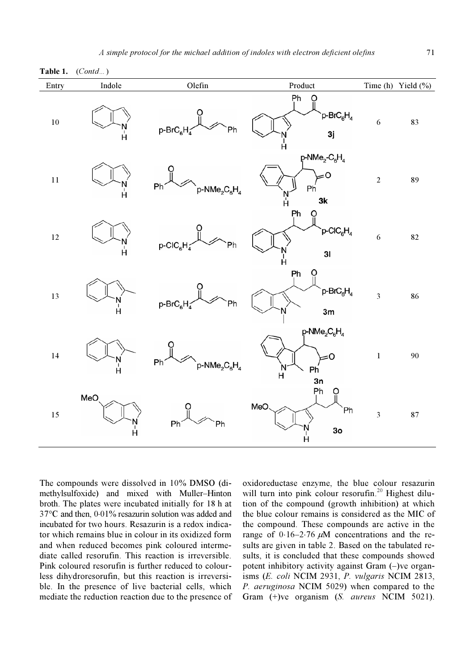| Entry  | Indole        | Olefin                                      | Product                                                                          |                         | Time (h) Yield $(\%$ ) |
|--------|---------------|---------------------------------------------|----------------------------------------------------------------------------------|-------------------------|------------------------|
| $10\,$ | Ä             | $p$ -Br $C_6H_4$<br>Ph                      | Ph<br>O<br>p-BrC <sub>6</sub> H <sub>4</sub><br>3j<br>Ĥ.                         | 6                       | 83                     |
| $11\,$ | N<br>H        | Ph'<br>$NMe2C6H4$                           | $p$ -NMe <sub>2</sub> -C <sub>6</sub> H <sub>4</sub><br>0=<br>Ph<br>N<br>H<br>3k | $\overline{2}$          | 89                     |
| $12\,$ | N<br>H        | $p\text{-}\text{CIC}_6H_4$<br>Ph            | Рh<br>$p\text{-}\mathrm{CIC}_6\mathrm{H}_4$<br>31<br>Ч                           | 6                       | 82                     |
| 13     | N<br>H        | p-BrC <sub>6</sub> H<br>Ph                  | Ph<br>$p$ -Br $C_6H_4$<br>3m                                                     | $\overline{\mathbf{3}}$ | 86                     |
| $14\,$ | N<br>H        | Ph'<br>$p\text{-NMe}_2\text{C}_6\text{H}_4$ | $p\text{-NMe}_2\text{C}_6\text{H}_4$<br>0=<br>Ph<br>$\ddot{H}$<br>3n             | $\,1$                   | 90                     |
| $15\,$ | MeO<br>N<br>H | Ph <sup>2</sup><br>Ph                       | Ph<br>MeO<br>`Ph<br>3 <sub>o</sub><br>r'<br>H                                    | $\overline{\mathbf{3}}$ | 87                     |

Table 1. (Contd...)

The compounds were dissolved in 10% DMSO (dimethylsulfoxide) and mixed with Muller–Hinton broth. The plates were incubated initially for 18 h at 37°C and then, 0⋅01% resazurin solution was added and incubated for two hours. Resazurin is a redox indicator which remains blue in colour in its oxidized form and when reduced becomes pink coloured intermediate called resorufin. This reaction is irreversible. Pink coloured resorufin is further reduced to colourless dihydroresorufin, but this reaction is irreversible. In the presence of live bacterial cells, which mediate the reduction reaction due to the presence of oxidoreductase enzyme, the blue colour resazurin will turn into pink colour resorufin.<sup>20</sup> Highest dilution of the compound (growth inhibition) at which the blue colour remains is considered as the MIC of the compound. These compounds are active in the range of  $0.16-2.76 \mu M$  concentrations and the results are given in table 2. Based on the tabulated results, it is concluded that these compounds showed potent inhibitory activity against Gram (–)ve organisms (E. coli NCIM 2931, P. vulgaris NCIM 2813, P. aeruginosa NCIM 5029) when compared to the Gram (+)ve organism (S. *aureus* NCIM 5021).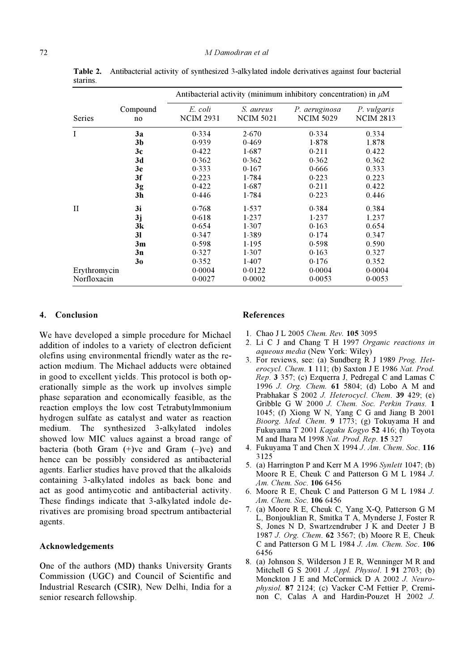|              |                |                             | Antibacterial activity (minimum inhibitory concentration) in $\mu$ M |                                   |                                 |
|--------------|----------------|-----------------------------|----------------------------------------------------------------------|-----------------------------------|---------------------------------|
| Series       | Compound<br>no | E. coli<br><b>NCIM 2931</b> | S. aureus<br><b>NCIM 5021</b>                                        | P. aeruginosa<br><b>NCIM 5029</b> | P. vulgaris<br><b>NCIM 2813</b> |
| I            | 3a             | 0.334                       | 2.670                                                                | 0.334                             | 0.334                           |
|              | 3 <sub>b</sub> | 0.939                       | 0.469                                                                | 1.878                             | 1.878                           |
|              | 3c             | 0.422                       | 1.687                                                                | 0.211                             | 0.422                           |
|              | 3d             | 0.362                       | 0.362                                                                | 0.362                             | 0.362                           |
|              | 3e             | 0.333                       | 0.167                                                                | 0.666                             | 0.333                           |
|              | 3f             | 0.223                       | 1.784                                                                | 0.223                             | 0.223                           |
|              | 3g             | 0.422                       | 1.687                                                                | 0.211                             | 0.422                           |
|              | 3 <sub>h</sub> | 0.446                       | 1.784                                                                | 0.223                             | 0.446                           |
| $_{\rm II}$  | 3i             | 0.768                       | 1.537                                                                | 0.384                             | 0.384                           |
|              | 3j             | 0.618                       | 1.237                                                                | 1.237                             | 1.237                           |
|              | 3k             | 0.654                       | 1.307                                                                | 0.163                             | 0.654                           |
|              | <b>31</b>      | 0.347                       | 1.389                                                                | 0.174                             | 0.347                           |
|              | 3m             | 0.598                       | 1.195                                                                | 0.598                             | 0.590                           |
|              | 3n             | 0.327                       | 1.307                                                                | 0.163                             | 0.327                           |
|              | 30             | 0.352                       | 1.407                                                                | 0.176                             | 0.352                           |
| Erythromycin |                | 0.0004                      | 0.0122                                                               | 0.0004                            | 0.0004                          |
| Norfloxacin  |                | 0.0027                      | 0.0002                                                               | 0.0053                            | 0.0053                          |

Table 2. Antibacterial activity of synthesized 3-alkylated indole derivatives against four bacterial starins.

#### 4. Conclusion

We have developed a simple procedure for Michael addition of indoles to a variety of electron deficient olefins using environmental friendly water as the reaction medium. The Michael adducts were obtained in good to excellent yields. This protocol is both operationally simple as the work up involves simple phase separation and economically feasible, as the reaction employs the low cost Tetrabutylmmonium hydrogen sulfate as catalyst and water as reaction medium. The synthesized 3-alkylated indoles showed low MIC values against a broad range of bacteria (both Gram  $(+)$ ve and Gram  $(-)$ ve) and hence can be possibly considered as antibacterial agents. Earlier studies have proved that the alkaloids containing 3-alkylated indoles as back bone and act as good antimycotic and antibacterial activity. These findings indicate that 3-alkylated indole derivatives are promising broad spectrum antibacterial agents.

#### Acknowledgements

One of the authors (MD) thanks University Grants Commission (UGC) and Council of Scientific and Industrial Research (CSIR), New Delhi, India for a senior research fellowship.

#### References

- 1. Chao J L 2005 Chem. Rev. 105 3095
- 2. Li C J and Chang T H 1997 Organic reactions in aqueous media (New York: Wiley)
- 3. For reviews, see: (a) Sundberg R J 1989 Prog. Heterocycl. Chem. 1 111; (b) Saxton J E 1986 Nat. Prod. Rep. 3 357; (c) Ezquerra J, Pedregal C and Lamas C 1996 J. Org. Chem. 61 5804; (d) Lobo A M and Prabhakar S 2002 J. Heterocycl. Chem. 39 429; (e) Gribble G W 2000 J. Chem. Soc. Perkin Trans. 1 1045; (f) Xiong W N, Yang C G and Jiang B 2001 Bioorg. Med. Chem. 9 1773; (g) Tokuyama H and Fukuyama T 2001 Kagaku Kogyo 52 416; (h) Toyota M and Ihara M 1998 Nat. Prod. Rep. 15 327
- 4. Fukuyama T and Chen X 1994 J. Am. Chem. Soc. 116 3125
- 5. (a) Harrington P and Kerr M A 1996 Synlett 1047; (b) Moore R E, Cheuk C and Patterson G M L 1984 J. Am. Chem. Soc. 106 6456
- 6. Moore R E, Cheuk C and Patterson G M L 1984 J. Am. Chem. Soc. 106 6456
- 7. (a) Moore R E, Cheuk C, Yang X-Q, Patterson G M L, Bonjouklian R, Smitka T A, Mynderse J, Foster R S, Jones N D, Swartzendruber J K and Deeter J B 1987 J. Org. Chem. 62 3567; (b) Moore R E, Cheuk C and Patterson G M L 1984 J. Am. Chem. Soc. 106 6456
- 8. (a) Johnson S, Wilderson J E R, Wenninger M R and Mitchell G S 2001 J. Appl. Physiol. I 91 2703; (b) Monckton J E and McCormick D A 2002 J. Neurophysiol. 87 2124; (c) Vacker C-M Fettier P, Creminon C, Calas A and Hardin-Pouzet H 2002 J.